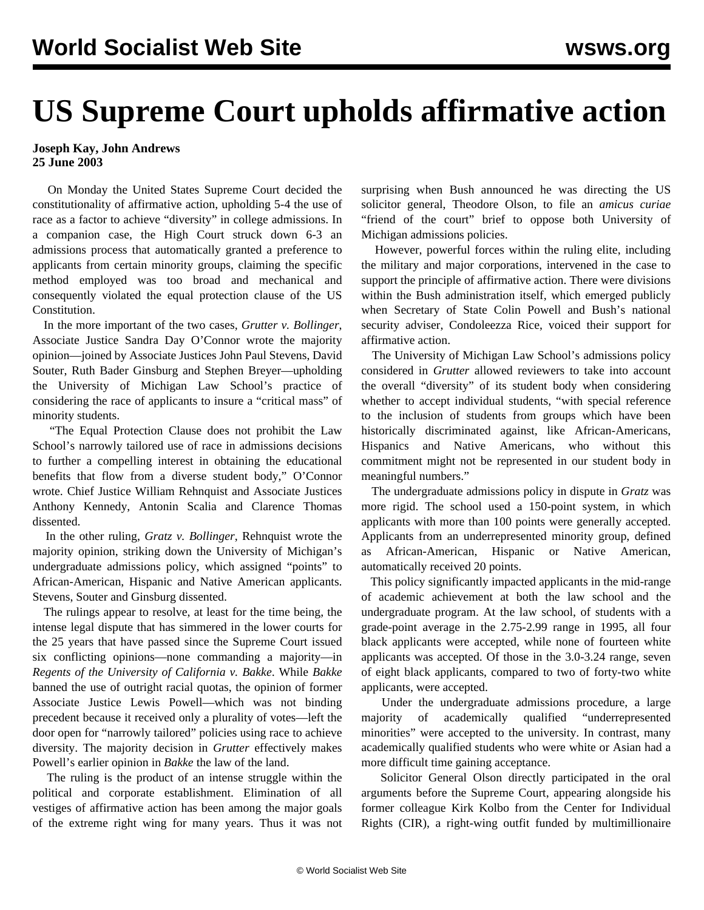## **US Supreme Court upholds affirmative action**

## **Joseph Kay, John Andrews 25 June 2003**

 On Monday the United States Supreme Court decided the constitutionality of affirmative action, upholding 5-4 the use of race as a factor to achieve "diversity" in college admissions. In a companion case, the High Court struck down 6-3 an admissions process that automatically granted a preference to applicants from certain minority groups, claiming the specific method employed was too broad and mechanical and consequently violated the equal protection clause of the US Constitution.

 In the more important of the two cases, *Grutter v. Bollinger*, Associate Justice Sandra Day O'Connor wrote the majority opinion—joined by Associate Justices John Paul Stevens, David Souter, Ruth Bader Ginsburg and Stephen Breyer—upholding the University of Michigan Law School's practice of considering the race of applicants to insure a "critical mass" of minority students.

 "The Equal Protection Clause does not prohibit the Law School's narrowly tailored use of race in admissions decisions to further a compelling interest in obtaining the educational benefits that flow from a diverse student body," O'Connor wrote. Chief Justice William Rehnquist and Associate Justices Anthony Kennedy, Antonin Scalia and Clarence Thomas dissented.

 In the other ruling, *Gratz v. Bollinger*, Rehnquist wrote the majority opinion, striking down the University of Michigan's undergraduate admissions policy, which assigned "points" to African-American, Hispanic and Native American applicants. Stevens, Souter and Ginsburg dissented.

 The rulings appear to resolve, at least for the time being, the intense legal dispute that has simmered in the lower courts for the 25 years that have passed since the Supreme Court issued six conflicting opinions—none commanding a majority—in *Regents of the University of California v. Bakke*. While *Bakke* banned the use of outright racial quotas, the opinion of former Associate Justice Lewis Powell—which was not binding precedent because it received only a plurality of votes—left the door open for "narrowly tailored" policies using race to achieve diversity. The majority decision in *Grutter* effectively makes Powell's earlier opinion in *Bakke* the law of the land.

 The ruling is the product of an intense struggle within the political and corporate establishment. Elimination of all vestiges of affirmative action has been among the major goals of the extreme right wing for many years. Thus it was not surprising when Bush announced he was directing the US solicitor general, Theodore Olson, to file an *amicus curiae* "friend of the court" brief to oppose both University of Michigan admissions policies.

 However, powerful forces within the ruling elite, including the military and major corporations, intervened in the case to support the principle of affirmative action. There were divisions within the Bush administration itself, which emerged publicly when Secretary of State Colin Powell and Bush's national security adviser, Condoleezza Rice, voiced their support for affirmative action.

 The University of Michigan Law School's admissions policy considered in *Grutter* allowed reviewers to take into account the overall "diversity" of its student body when considering whether to accept individual students, "with special reference to the inclusion of students from groups which have been historically discriminated against, like African-Americans, Hispanics and Native Americans, who without this commitment might not be represented in our student body in meaningful numbers."

 The undergraduate admissions policy in dispute in *Gratz* was more rigid. The school used a 150-point system, in which applicants with more than 100 points were generally accepted. Applicants from an underrepresented minority group, defined as African-American, Hispanic or Native American, automatically received 20 points.

 This policy significantly impacted applicants in the mid-range of academic achievement at both the law school and the undergraduate program. At the law school, of students with a grade-point average in the 2.75-2.99 range in 1995, all four black applicants were accepted, while none of fourteen white applicants was accepted. Of those in the 3.0-3.24 range, seven of eight black applicants, compared to two of forty-two white applicants, were accepted.

 Under the undergraduate admissions procedure, a large majority of academically qualified "underrepresented minorities" were accepted to the university. In contrast, many academically qualified students who were white or Asian had a more difficult time gaining acceptance.

 Solicitor General Olson directly participated in the oral arguments before the Supreme Court, appearing alongside his former colleague Kirk Kolbo from the Center for Individual Rights (CIR), a right-wing outfit funded by multimillionaire